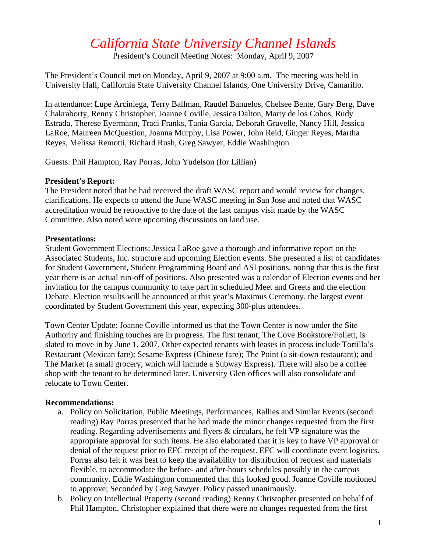# *California State University Channel Islands*

President's Council Meeting Notes: Monday, April 9, 2007

The President's Council met on Monday, April 9, 2007 at 9:00 a.m. The meeting was held in University Hall, California State University Channel Islands, One University Drive, Camarillo.

In attendance: Lupe Arciniega, Terry Ballman, Raudel Banuelos, Chelsee Bente, Gary Berg, Dave Chakraborty, Renny Christopher, Joanne Coville, Jessica Dalton, Marty de los Cobos, Rudy Estrada, Therese Eyermann, Traci Franks, Tania Garcia, Deborah Gravelle, Nancy Hill, Jessica LaRoe, Maureen McQuestion, Joanna Murphy, Lisa Power, John Reid, Ginger Reyes, Martha Reyes, Melissa Remotti, Richard Rush, Greg Sawyer, Eddie Washington

Guests: Phil Hampton, Ray Porras, John Yudelson (for Lillian)

### **President's Report:**

The President noted that he had received the draft WASC report and would review for changes, clarifications. He expects to attend the June WASC meeting in San Jose and noted that WASC accreditation would be retroactive to the date of the last campus visit made by the WASC Committee. Also noted were upcoming discussions on land use.

### **Presentations:**

Student Government Elections: Jessica LaRoe gave a thorough and informative report on the Associated Students, Inc. structure and upcoming Election events. She presented a list of candidates for Student Government, Student Programming Board and ASI positions, noting that this is the first year there is an actual run-off of positions. Also presented was a calendar of Election events and her invitation for the campus community to take part in scheduled Meet and Greets and the election Debate. Election results will be announced at this year's Maximus Ceremony, the largest event coordinated by Student Government this year, expecting 300-plus attendees.

Town Center Update: Joanne Coville informed us that the Town Center is now under the Site Authority and finishing touches are in progress. The first tenant, The Cove Bookstore/Follett, is slated to move in by June 1, 2007. Other expected tenants with leases in process include Tortilla's Restaurant (Mexican fare); Sesame Express (Chinese fare); The Point (a sit-down restaurant); and The Market (a small grocery, which will include a Subway Express). There will also be a coffee shop with the tenant to be determined later. University Glen offices will also consolidate and relocate to Town Center.

## **Recommendations:**

- a. Policy on Solicitation, Public Meetings, Performances, Rallies and Similar Events (second reading) Ray Porras presented that he had made the minor changes requested from the first reading. Regarding advertisements and flyers & circulars, he felt VP signature was the appropriate approval for such items. He also elaborated that it is key to have VP approval or denial of the request prior to EFC receipt of the request. EFC will coordinate event logistics. Porras also felt it was best to keep the availability for distribution of request and materials flexible, to accommodate the before- and after-hours schedules possibly in the campus community. Eddie Washington commented that this looked good. Joanne Coville motioned to approve; Seconded by Greg Sawyer. Policy passed unanimously.
- b. Policy on Intellectual Property (second reading) Renny Christopher presented on behalf of Phil Hampton. Christopher explained that there were no changes requested from the first